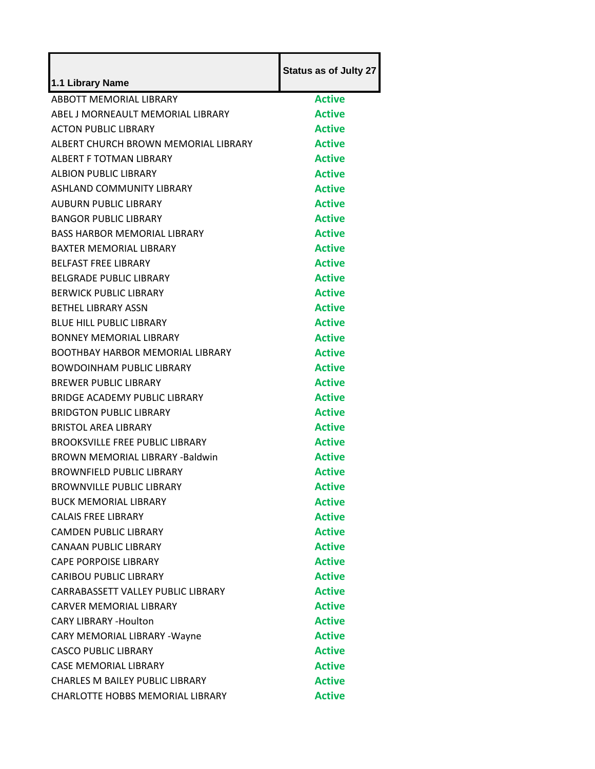| 1.1 Library Name                        | <b>Status as of Julty 27</b> |
|-----------------------------------------|------------------------------|
| ABBOTT MEMORIAL LIBRARY                 | <b>Active</b>                |
| ABEL J MORNEAULT MEMORIAL LIBRARY       | <b>Active</b>                |
| <b>ACTON PUBLIC LIBRARY</b>             | <b>Active</b>                |
| ALBERT CHURCH BROWN MEMORIAL LIBRARY    | <b>Active</b>                |
| ALBERT F TOTMAN LIBRARY                 | <b>Active</b>                |
| ALBION PUBLIC LIBRARY                   | <b>Active</b>                |
| <b>ASHLAND COMMUNITY LIBRARY</b>        | <b>Active</b>                |
| <b>AUBURN PUBLIC LIBRARY</b>            | <b>Active</b>                |
| <b>BANGOR PUBLIC LIBRARY</b>            | <b>Active</b>                |
| <b>BASS HARBOR MEMORIAL LIBRARY</b>     | <b>Active</b>                |
| <b>BAXTER MEMORIAL LIBRARY</b>          | <b>Active</b>                |
| <b>BELFAST FREE LIBRARY</b>             | <b>Active</b>                |
| <b>BELGRADE PUBLIC LIBRARY</b>          | <b>Active</b>                |
| <b>BERWICK PUBLIC LIBRARY</b>           | <b>Active</b>                |
| <b>BETHEL LIBRARY ASSN</b>              | <b>Active</b>                |
| <b>BLUE HILL PUBLIC LIBRARY</b>         | <b>Active</b>                |
| <b>BONNEY MEMORIAL LIBRARY</b>          | <b>Active</b>                |
| <b>BOOTHBAY HARBOR MEMORIAL LIBRARY</b> | <b>Active</b>                |
| <b>BOWDOINHAM PUBLIC LIBRARY</b>        | <b>Active</b>                |
| <b>BREWER PUBLIC LIBRARY</b>            | <b>Active</b>                |
| BRIDGE ACADEMY PUBLIC LIBRARY           | <b>Active</b>                |
| <b>BRIDGTON PUBLIC LIBRARY</b>          | <b>Active</b>                |
| <b>BRISTOL AREA LIBRARY</b>             | <b>Active</b>                |
| <b>BROOKSVILLE FREE PUBLIC LIBRARY</b>  | <b>Active</b>                |
| <b>BROWN MEMORIAL LIBRARY -Baldwin</b>  | <b>Active</b>                |
| <b>BROWNFIELD PUBLIC LIBRARY</b>        | <b>Active</b>                |
| <b>BROWNVILLE PUBLIC LIBRARY</b>        | Active                       |
| <b>BUCK MEMORIAL LIBRARY</b>            | <b>Active</b>                |
| <b>CALAIS FREE LIBRARY</b>              | <b>Active</b>                |
| <b>CAMDEN PUBLIC LIBRARY</b>            | <b>Active</b>                |
| <b>CANAAN PUBLIC LIBRARY</b>            | <b>Active</b>                |
| <b>CAPE PORPOISE LIBRARY</b>            | <b>Active</b>                |
| <b>CARIBOU PUBLIC LIBRARY</b>           | <b>Active</b>                |
| CARRABASSETT VALLEY PUBLIC LIBRARY      | <b>Active</b>                |
| <b>CARVER MEMORIAL LIBRARY</b>          | <b>Active</b>                |
| <b>CARY LIBRARY -Houlton</b>            | <b>Active</b>                |
| CARY MEMORIAL LIBRARY - Wayne           | <b>Active</b>                |
| <b>CASCO PUBLIC LIBRARY</b>             | <b>Active</b>                |
| <b>CASE MEMORIAL LIBRARY</b>            | <b>Active</b>                |
| <b>CHARLES M BAILEY PUBLIC LIBRARY</b>  | <b>Active</b>                |
| CHARLOTTE HOBBS MEMORIAL LIBRARY        | <b>Active</b>                |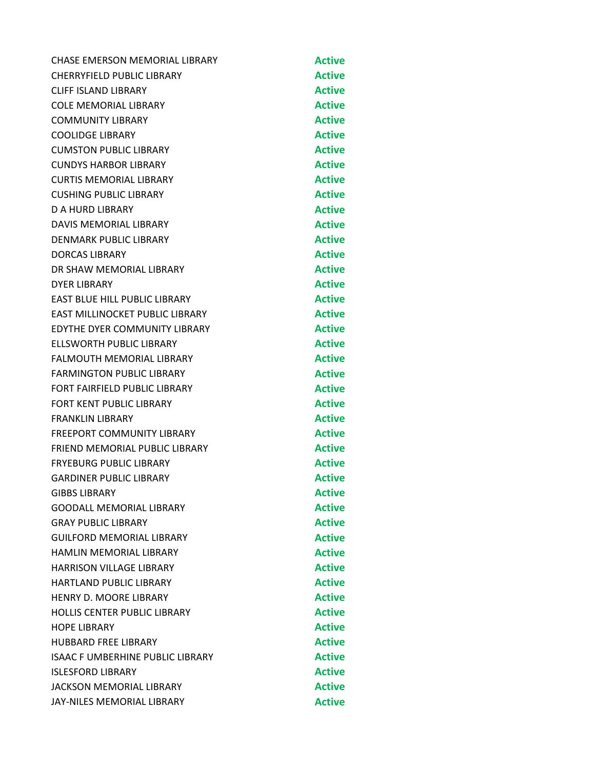| CHASE EMERSON MEMORIAL LIBRARY          | <b>Active</b> |
|-----------------------------------------|---------------|
| CHERRYFIELD PUBLIC LIBRARY              | <b>Active</b> |
| CLIFF ISLAND LIBRARY                    | <b>Active</b> |
| <b>COLE MEMORIAL LIBRARY</b>            | <b>Active</b> |
| <b>COMMUNITY LIBRARY</b>                | <b>Active</b> |
| <b>COOLIDGE LIBRARY</b>                 | <b>Active</b> |
| <b>CUMSTON PUBLIC LIBRARY</b>           | <b>Active</b> |
| <b>CUNDYS HARBOR LIBRARY</b>            | <b>Active</b> |
| <b>CURTIS MEMORIAL LIBRARY</b>          | <b>Active</b> |
| <b>CUSHING PUBLIC LIBRARY</b>           | <b>Active</b> |
| D A HURD LIBRARY                        | <b>Active</b> |
| DAVIS MEMORIAL LIBRARY                  | <b>Active</b> |
| DENMARK PUBLIC LIBRARY                  | <b>Active</b> |
| <b>DORCAS LIBRARY</b>                   | <b>Active</b> |
| DR SHAW MEMORIAL LIBRARY                | <b>Active</b> |
| DYER LIBRARY                            | <b>Active</b> |
| EAST BLUE HILL PUBLIC LIBRARY           | <b>Active</b> |
| <b>EAST MILLINOCKET PUBLIC LIBRARY</b>  | <b>Active</b> |
| <b>EDYTHE DYER COMMUNITY LIBRARY</b>    | <b>Active</b> |
| ELLSWORTH PUBLIC LIBRARY                | <b>Active</b> |
| <b>FALMOUTH MEMORIAL LIBRARY</b>        | <b>Active</b> |
| <b>FARMINGTON PUBLIC LIBRARY</b>        | <b>Active</b> |
| FORT FAIRFIELD PUBLIC LIBRARY           | <b>Active</b> |
| FORT KENT PUBLIC LIBRARY                | <b>Active</b> |
| <b>FRANKLIN LIBRARY</b>                 | <b>Active</b> |
| <b>FREEPORT COMMUNITY LIBRARY</b>       | <b>Active</b> |
| FRIEND MEMORIAL PUBLIC LIBRARY          | <b>Active</b> |
| <b>FRYEBURG PUBLIC LIBRARY</b>          | <b>Active</b> |
| <b>GARDINER PUBLIC LIBRARY</b>          | <b>Active</b> |
| <b>GIBBS LIBRARY</b>                    | <b>Active</b> |
| <b>GOODALL MEMORIAL LIBRARY</b>         | <b>Active</b> |
| <b>GRAY PUBLIC LIBRARY</b>              | <b>Active</b> |
| <b>GUILFORD MEMORIAL LIBRARY</b>        | <b>Active</b> |
| <b>HAMLIN MEMORIAL LIBRARY</b>          | <b>Active</b> |
| <b>HARRISON VILLAGE LIBRARY</b>         | <b>Active</b> |
| <b>HARTLAND PUBLIC LIBRARY</b>          | <b>Active</b> |
| HENRY D. MOORE LIBRARY                  | <b>Active</b> |
| <b>HOLLIS CENTER PUBLIC LIBRARY</b>     | <b>Active</b> |
| <b>HOPE LIBRARY</b>                     | <b>Active</b> |
| <b>HUBBARD FREE LIBRARY</b>             | <b>Active</b> |
| <b>ISAAC F UMBERHINE PUBLIC LIBRARY</b> | <b>Active</b> |
| <b>ISLESFORD LIBRARY</b>                | <b>Active</b> |
| <b>JACKSON MEMORIAL LIBRARY</b>         | <b>Active</b> |
| JAY-NILES MEMORIAL LIBRARY              | <b>Active</b> |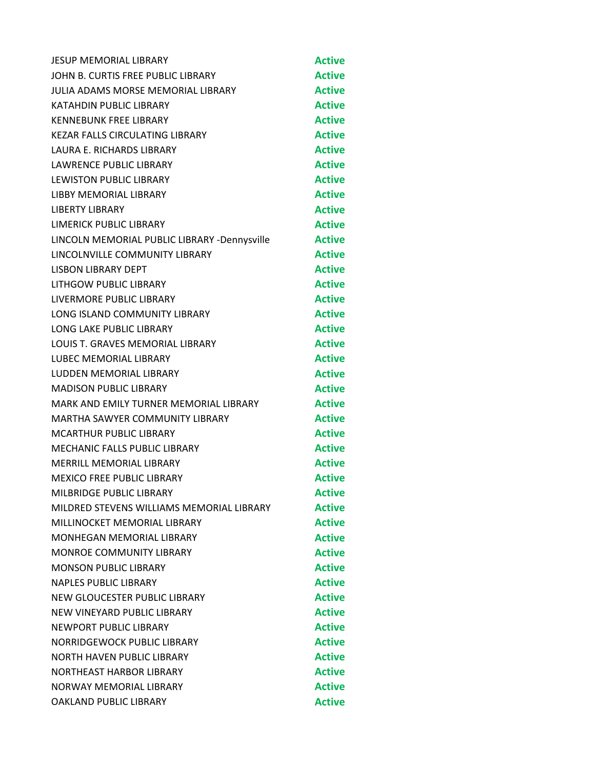| <b>JESUP MEMORIAL LIBRARY</b>                | <b>Active</b> |
|----------------------------------------------|---------------|
| JOHN B. CURTIS FREE PUBLIC LIBRARY           | <b>Active</b> |
| <b>JULIA ADAMS MORSE MEMORIAL LIBRARY</b>    | <b>Active</b> |
| KATAHDIN PUBLIC LIBRARY                      | <b>Active</b> |
| <b>KENNEBUNK FREE LIBRARY</b>                | <b>Active</b> |
| KEZAR FALLS CIRCULATING LIBRARY              | <b>Active</b> |
| LAURA E. RICHARDS LIBRARY                    | <b>Active</b> |
| <b>LAWRENCE PUBLIC LIBRARY</b>               | <b>Active</b> |
| <b>LEWISTON PUBLIC LIBRARY</b>               | <b>Active</b> |
| LIBBY MEMORIAL LIBRARY                       | <b>Active</b> |
| <b>LIBERTY LIBRARY</b>                       | <b>Active</b> |
| LIMERICK PUBLIC LIBRARY                      | <b>Active</b> |
| LINCOLN MEMORIAL PUBLIC LIBRARY -Dennysville | <b>Active</b> |
| LINCOLNVILLE COMMUNITY LIBRARY               | <b>Active</b> |
| <b>LISBON LIBRARY DEPT</b>                   | <b>Active</b> |
| LITHGOW PUBLIC LIBRARY                       | <b>Active</b> |
| LIVERMORE PUBLIC LIBRARY                     | <b>Active</b> |
| LONG ISLAND COMMUNITY LIBRARY                | <b>Active</b> |
| <b>LONG LAKE PUBLIC LIBRARY</b>              | <b>Active</b> |
| LOUIS T. GRAVES MEMORIAL LIBRARY             | <b>Active</b> |
| <b>LUBEC MEMORIAL LIBRARY</b>                | <b>Active</b> |
| LUDDEN MEMORIAL LIBRARY                      | <b>Active</b> |
| <b>MADISON PUBLIC LIBRARY</b>                | <b>Active</b> |
| MARK AND EMILY TURNER MEMORIAL LIBRARY       | <b>Active</b> |
| <b>MARTHA SAWYER COMMUNITY LIBRARY</b>       | <b>Active</b> |
| <b>MCARTHUR PUBLIC LIBRARY</b>               | <b>Active</b> |
| MECHANIC FALLS PUBLIC LIBRARY                | <b>Active</b> |
| <b>MERRILL MEMORIAL LIBRARY</b>              | <b>Active</b> |
| <b>MEXICO FREE PUBLIC LIBRARY</b>            | <b>Active</b> |
| MILBRIDGE PUBLIC LIBRARY                     | Active        |
| MILDRED STEVENS WILLIAMS MEMORIAL LIBRARY    | <b>Active</b> |
| MILLINOCKET MEMORIAL LIBRARY                 | <b>Active</b> |
| <b>MONHEGAN MEMORIAL LIBRARY</b>             | <b>Active</b> |
| <b>MONROE COMMUNITY LIBRARY</b>              | <b>Active</b> |
| <b>MONSON PUBLIC LIBRARY</b>                 | <b>Active</b> |
| <b>NAPLES PUBLIC LIBRARY</b>                 | <b>Active</b> |
| NEW GLOUCESTER PUBLIC LIBRARY                | <b>Active</b> |
| NEW VINEYARD PUBLIC LIBRARY                  | <b>Active</b> |
| <b>NEWPORT PUBLIC LIBRARY</b>                | <b>Active</b> |
| NORRIDGEWOCK PUBLIC LIBRARY                  | <b>Active</b> |
| <b>NORTH HAVEN PUBLIC LIBRARY</b>            | <b>Active</b> |
| <b>NORTHEAST HARBOR LIBRARY</b>              | <b>Active</b> |
| NORWAY MEMORIAL LIBRARY                      | <b>Active</b> |
| OAKLAND PUBLIC LIBRARY                       | <b>Active</b> |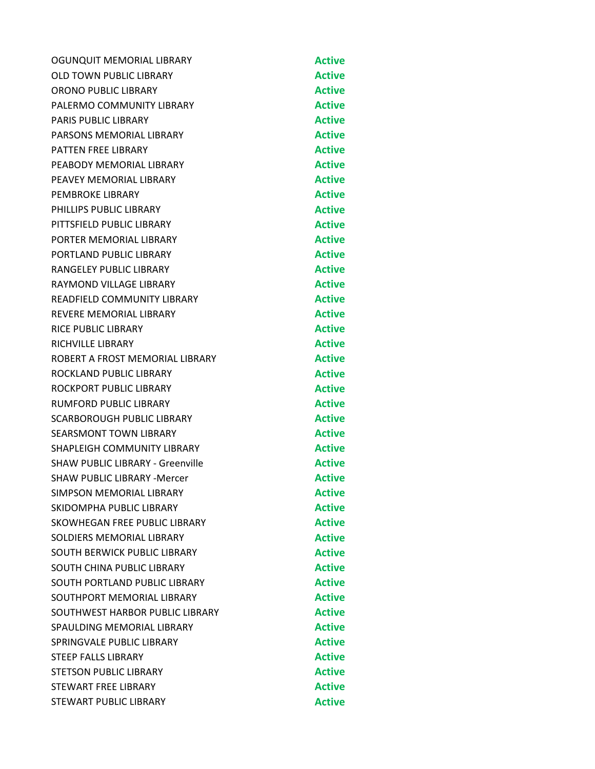| OGUNQUIT MEMORIAL LIBRARY               | <b>Active</b> |
|-----------------------------------------|---------------|
| OLD TOWN PUBLIC LIBRARY                 | <b>Active</b> |
| ORONO PUBLIC LIBRARY                    | <b>Active</b> |
| PALERMO COMMUNITY LIBRARY               | <b>Active</b> |
| <b>PARIS PUBLIC LIBRARY</b>             | <b>Active</b> |
| PARSONS MEMORIAL LIBRARY                | <b>Active</b> |
| <b>PATTEN FREE LIBRARY</b>              | <b>Active</b> |
| PEABODY MEMORIAL LIBRARY                | <b>Active</b> |
| PEAVEY MEMORIAL LIBRARY                 | <b>Active</b> |
| <b>PEMBROKE LIBRARY</b>                 | <b>Active</b> |
| PHILLIPS PUBLIC LIBRARY                 | <b>Active</b> |
| PITTSFIELD PUBLIC LIBRARY               | <b>Active</b> |
| PORTER MEMORIAL LIBRARY                 | <b>Active</b> |
| PORTLAND PUBLIC LIBRARY                 | <b>Active</b> |
| <b>RANGELEY PUBLIC LIBRARY</b>          | <b>Active</b> |
| RAYMOND VILLAGE LIBRARY                 | <b>Active</b> |
| <b>READFIELD COMMUNITY LIBRARY</b>      | <b>Active</b> |
| <b>REVERE MEMORIAL LIBRARY</b>          | <b>Active</b> |
| <b>RICE PUBLIC LIBRARY</b>              | <b>Active</b> |
| <b>RICHVILLE LIBRARY</b>                | <b>Active</b> |
| ROBERT A FROST MEMORIAL LIBRARY         | <b>Active</b> |
| ROCKLAND PUBLIC LIBRARY                 | <b>Active</b> |
| ROCKPORT PUBLIC LIBRARY                 | <b>Active</b> |
| <b>RUMFORD PUBLIC LIBRARY</b>           | <b>Active</b> |
| SCARBOROUGH PUBLIC LIBRARY              | <b>Active</b> |
| <b>SEARSMONT TOWN LIBRARY</b>           | <b>Active</b> |
| SHAPLEIGH COMMUNITY LIBRARY             | <b>Active</b> |
| <b>SHAW PUBLIC LIBRARY - Greenville</b> | <b>Active</b> |
| <b>SHAW PUBLIC LIBRARY -Mercer</b>      | <b>Active</b> |
| <b>SIMPSON MEMORIAL LIBRARY</b>         | <b>Active</b> |
| SKIDOMPHA PUBLIC LIBRARY                | <b>Active</b> |
| SKOWHEGAN FREE PUBLIC LIBRARY           | <b>Active</b> |
| SOLDIERS MEMORIAL LIBRARY               | <b>Active</b> |
| SOUTH BERWICK PUBLIC LIBRARY            | <b>Active</b> |
| SOUTH CHINA PUBLIC LIBRARY              | <b>Active</b> |
| SOUTH PORTLAND PUBLIC LIBRARY           | <b>Active</b> |
| SOUTHPORT MEMORIAL LIBRARY              | <b>Active</b> |
| SOUTHWEST HARBOR PUBLIC LIBRARY         | <b>Active</b> |
| SPAULDING MEMORIAL LIBRARY              | <b>Active</b> |
| SPRINGVALE PUBLIC LIBRARY               | <b>Active</b> |
| <b>STEEP FALLS LIBRARY</b>              | <b>Active</b> |
| <b>STETSON PUBLIC LIBRARY</b>           | <b>Active</b> |
| <b>STEWART FREE LIBRARY</b>             | <b>Active</b> |
| STEWART PUBLIC LIBRARY                  | <b>Active</b> |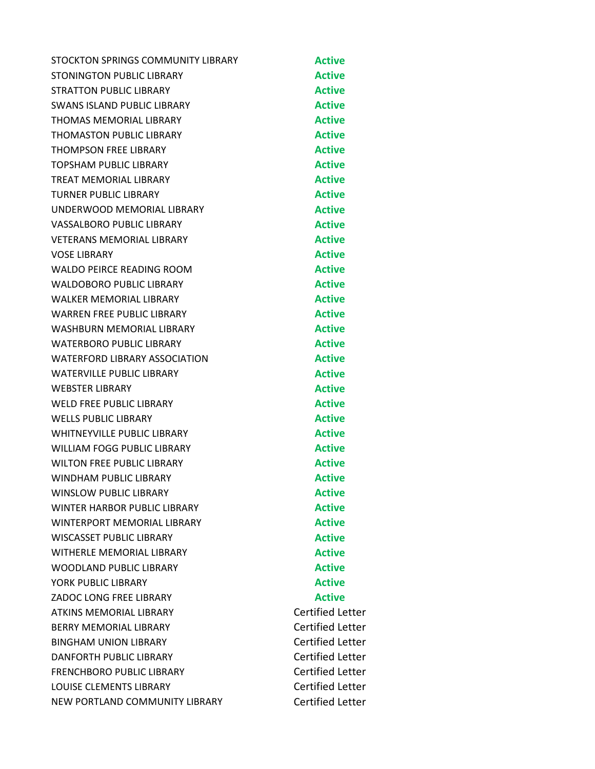| STOCKTON SPRINGS COMMUNITY LIBRARY   | <b>Active</b>           |
|--------------------------------------|-------------------------|
| STONINGTON PUBLIC LIBRARY            | <b>Active</b>           |
| <b>STRATTON PUBLIC LIBRARY</b>       | <b>Active</b>           |
| <b>SWANS ISLAND PUBLIC LIBRARY</b>   | <b>Active</b>           |
| <b>THOMAS MEMORIAL LIBRARY</b>       | <b>Active</b>           |
| <b>THOMASTON PUBLIC LIBRARY</b>      | <b>Active</b>           |
| <b>THOMPSON FREE LIBRARY</b>         | <b>Active</b>           |
| TOPSHAM PUBLIC LIBRARY               | <b>Active</b>           |
| <b>TREAT MEMORIAL LIBRARY</b>        | <b>Active</b>           |
| <b>TURNER PUBLIC LIBRARY</b>         | <b>Active</b>           |
| UNDERWOOD MEMORIAL LIBRARY           | <b>Active</b>           |
| <b>VASSALBORO PUBLIC LIBRARY</b>     | <b>Active</b>           |
| <b>VETERANS MEMORIAL LIBRARY</b>     | <b>Active</b>           |
| <b>VOSE LIBRARY</b>                  | <b>Active</b>           |
| <b>WALDO PEIRCE READING ROOM</b>     | <b>Active</b>           |
| <b>WALDOBORO PUBLIC LIBRARY</b>      | <b>Active</b>           |
| <b>WALKER MEMORIAL LIBRARY</b>       | <b>Active</b>           |
| <b>WARREN FREE PUBLIC LIBRARY</b>    | <b>Active</b>           |
| <b>WASHBURN MEMORIAL LIBRARY</b>     | <b>Active</b>           |
| <b>WATERBORO PUBLIC LIBRARY</b>      | <b>Active</b>           |
| <b>WATERFORD LIBRARY ASSOCIATION</b> | <b>Active</b>           |
| <b>WATERVILLE PUBLIC LIBRARY</b>     | <b>Active</b>           |
| <b>WEBSTER LIBRARY</b>               | <b>Active</b>           |
| <b>WELD FREE PUBLIC LIBRARY</b>      | <b>Active</b>           |
| <b>WELLS PUBLIC LIBRARY</b>          | <b>Active</b>           |
| <b>WHITNEYVILLE PUBLIC LIBRARY</b>   | <b>Active</b>           |
| <b>WILLIAM FOGG PUBLIC LIBRARY</b>   | <b>Active</b>           |
| <b>WILTON FREE PUBLIC LIBRARY</b>    | <b>Active</b>           |
| WINDHAM PUBLIC LIBRARY               | <b>Active</b>           |
| <b>WINSLOW PUBLIC LIBRARY</b>        | <b>Active</b>           |
| <b>WINTER HARBOR PUBLIC LIBRARY</b>  | <b>Active</b>           |
| WINTERPORT MEMORIAL LIBRARY          | <b>Active</b>           |
| <b>WISCASSET PUBLIC LIBRARY</b>      | <b>Active</b>           |
| <b>WITHERLE MEMORIAL LIBRARY</b>     | <b>Active</b>           |
| WOODLAND PUBLIC LIBRARY              | <b>Active</b>           |
| YORK PUBLIC LIBRARY                  | <b>Active</b>           |
| ZADOC LONG FREE LIBRARY              | <b>Active</b>           |
| <b>ATKINS MEMORIAL LIBRARY</b>       | <b>Certified Letter</b> |
| <b>BERRY MEMORIAL LIBRARY</b>        | <b>Certified Letter</b> |
| <b>BINGHAM UNION LIBRARY</b>         | <b>Certified Letter</b> |
| DANFORTH PUBLIC LIBRARY              | <b>Certified Letter</b> |
| <b>FRENCHBORO PUBLIC LIBRARY</b>     | <b>Certified Letter</b> |
| <b>LOUISE CLEMENTS LIBRARY</b>       | <b>Certified Letter</b> |
| NEW PORTLAND COMMUNITY LIBRARY       | <b>Certified Letter</b> |